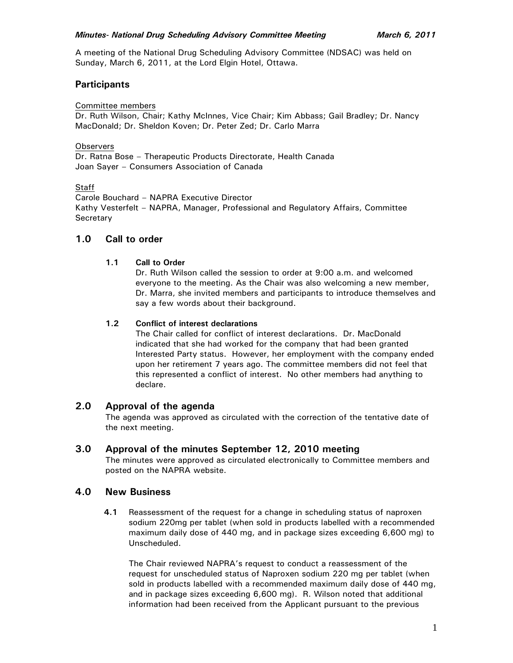A meeting of the National Drug Scheduling Advisory Committee (NDSAC) was held on Sunday, March 6, 2011, at the Lord Elgin Hotel, Ottawa.

# **Participants**

### Committee members

Dr. Ruth Wilson, Chair; Kathy McInnes, Vice Chair; Kim Abbass; Gail Bradley; Dr. Nancy MacDonald; Dr. Sheldon Koven; Dr. Peter Zed; Dr. Carlo Marra

### **Observers**

Dr. Ratna Bose – Therapeutic Products Directorate, Health Canada Joan Sayer – Consumers Association of Canada

Staff

Carole Bouchard – NAPRA Executive Director Kathy Vesterfelt – NAPRA, Manager, Professional and Regulatory Affairs, Committee **Secretary** 

# **1.0 Call to order**

### **1.1 Call to Order**

Dr. Ruth Wilson called the session to order at 9:00 a.m. and welcomed everyone to the meeting. As the Chair was also welcoming a new member, Dr. Marra, she invited members and participants to introduce themselves and say a few words about their background.

### **1.2 Conflict of interest declarations**

The Chair called for conflict of interest declarations. Dr. MacDonald indicated that she had worked for the company that had been granted Interested Party status. However, her employment with the company ended upon her retirement 7 years ago. The committee members did not feel that this represented a conflict of interest. No other members had anything to declare.

# **2.0 Approval of the agenda**

The agenda was approved as circulated with the correction of the tentative date of the next meeting.

## **3.0 Approval of the minutes September 12, 2010 meeting**

The minutes were approved as circulated electronically to Committee members and posted on the NAPRA website.

## **4.0 New Business**

**4.1** Reassessment of the request for a change in scheduling status of naproxen sodium 220mg per tablet (when sold in products labelled with a recommended maximum daily dose of 440 mg, and in package sizes exceeding 6,600 mg) to Unscheduled.

 The Chair reviewed NAPRA's request to conduct a reassessment of the request for unscheduled status of Naproxen sodium 220 mg per tablet (when sold in products labelled with a recommended maximum daily dose of 440 mg, and in package sizes exceeding 6,600 mg). R. Wilson noted that additional information had been received from the Applicant pursuant to the previous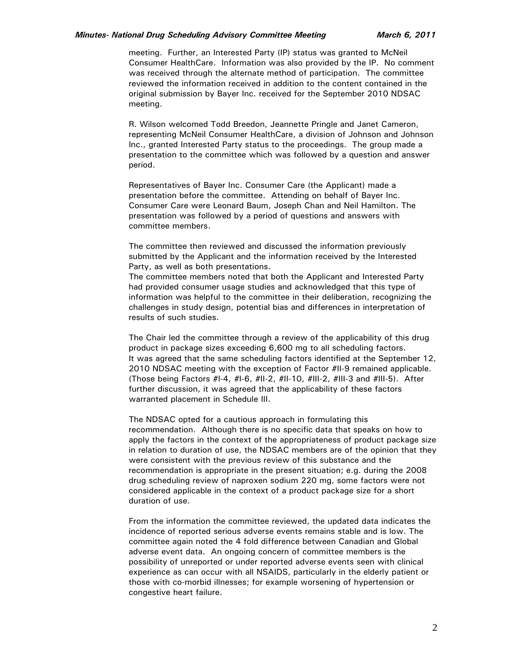#### *Minutes- National Drug Scheduling Advisory Committee Meeting March 6, 2011*

meeting. Further, an Interested Party (IP) status was granted to McNeil Consumer HealthCare. Information was also provided by the IP. No comment was received through the alternate method of participation. The committee reviewed the information received in addition to the content contained in the original submission by Bayer Inc. received for the September 2010 NDSAC meeting.

R. Wilson welcomed Todd Breedon, Jeannette Pringle and Janet Cameron, representing McNeil Consumer HealthCare, a division of Johnson and Johnson Inc., granted Interested Party status to the proceedings. The group made a presentation to the committee which was followed by a question and answer period.

Representatives of Bayer Inc. Consumer Care (the Applicant) made a presentation before the committee. Attending on behalf of Bayer Inc. Consumer Care were Leonard Baum, Joseph Chan and Neil Hamilton. The presentation was followed by a period of questions and answers with committee members.

 The committee then reviewed and discussed the information previously submitted by the Applicant and the information received by the Interested Party, as well as both presentations.

 The committee members noted that both the Applicant and Interested Party had provided consumer usage studies and acknowledged that this type of information was helpful to the committee in their deliberation, recognizing the challenges in study design, potential bias and differences in interpretation of results of such studies.

 The Chair led the committee through a review of the applicability of this drug product in package sizes exceeding 6,600 mg to all scheduling factors. It was agreed that the same scheduling factors identified at the September 12, 2010 NDSAC meeting with the exception of Factor #II-9 remained applicable. (Those being Factors #I-4, #I-6, #II-2, #II-10, #III-2, #III-3 and #III-5). After further discussion, it was agreed that the applicability of these factors warranted placement in Schedule III.

 The NDSAC opted for a cautious approach in formulating this recommendation. Although there is no specific data that speaks on how to apply the factors in the context of the appropriateness of product package size in relation to duration of use, the NDSAC members are of the opinion that they were consistent with the previous review of this substance and the recommendation is appropriate in the present situation; e.g. during the 2008 drug scheduling review of naproxen sodium 220 mg, some factors were not considered applicable in the context of a product package size for a short duration of use.

 From the information the committee reviewed, the updated data indicates the incidence of reported serious adverse events remains stable and is low. The committee again noted the 4 fold difference between Canadian and Global adverse event data. An ongoing concern of committee members is the possibility of unreported or under reported adverse events seen with clinical experience as can occur with all NSAIDS, particularly in the elderly patient or those with co-morbid illnesses; for example worsening of hypertension or congestive heart failure.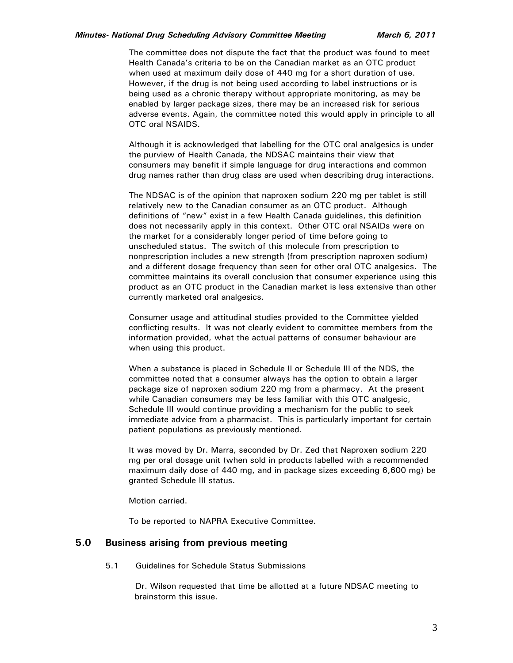#### *Minutes- National Drug Scheduling Advisory Committee Meeting March 6, 2011*

 The committee does not dispute the fact that the product was found to meet Health Canada's criteria to be on the Canadian market as an OTC product when used at maximum daily dose of 440 mg for a short duration of use. However, if the drug is not being used according to label instructions or is being used as a chronic therapy without appropriate monitoring, as may be enabled by larger package sizes, there may be an increased risk for serious adverse events. Again, the committee noted this would apply in principle to all OTC oral NSAIDS.

 Although it is acknowledged that labelling for the OTC oral analgesics is under the purview of Health Canada, the NDSAC maintains their view that consumers may benefit if simple language for drug interactions and common drug names rather than drug class are used when describing drug interactions.

 The NDSAC is of the opinion that naproxen sodium 220 mg per tablet is still relatively new to the Canadian consumer as an OTC product. Although definitions of "new" exist in a few Health Canada guidelines, this definition does not necessarily apply in this context. Other OTC oral NSAIDs were on the market for a considerably longer period of time before going to unscheduled status. The switch of this molecule from prescription to nonprescription includes a new strength (from prescription naproxen sodium) and a different dosage frequency than seen for other oral OTC analgesics. The committee maintains its overall conclusion that consumer experience using this product as an OTC product in the Canadian market is less extensive than other currently marketed oral analgesics.

 Consumer usage and attitudinal studies provided to the Committee yielded conflicting results. It was not clearly evident to committee members from the information provided, what the actual patterns of consumer behaviour are when using this product.

 When a substance is placed in Schedule II or Schedule III of the NDS, the committee noted that a consumer always has the option to obtain a larger package size of naproxen sodium 220 mg from a pharmacy. At the present while Canadian consumers may be less familiar with this OTC analgesic, Schedule III would continue providing a mechanism for the public to seek immediate advice from a pharmacist. This is particularly important for certain patient populations as previously mentioned.

 It was moved by Dr. Marra, seconded by Dr. Zed that Naproxen sodium 220 mg per oral dosage unit (when sold in products labelled with a recommended maximum daily dose of 440 mg, and in package sizes exceeding 6,600 mg) be granted Schedule III status.

Motion carried.

To be reported to NAPRA Executive Committee.

### **5.0 Business arising from previous meeting**

5.1 Guidelines for Schedule Status Submissions

 Dr. Wilson requested that time be allotted at a future NDSAC meeting to brainstorm this issue.